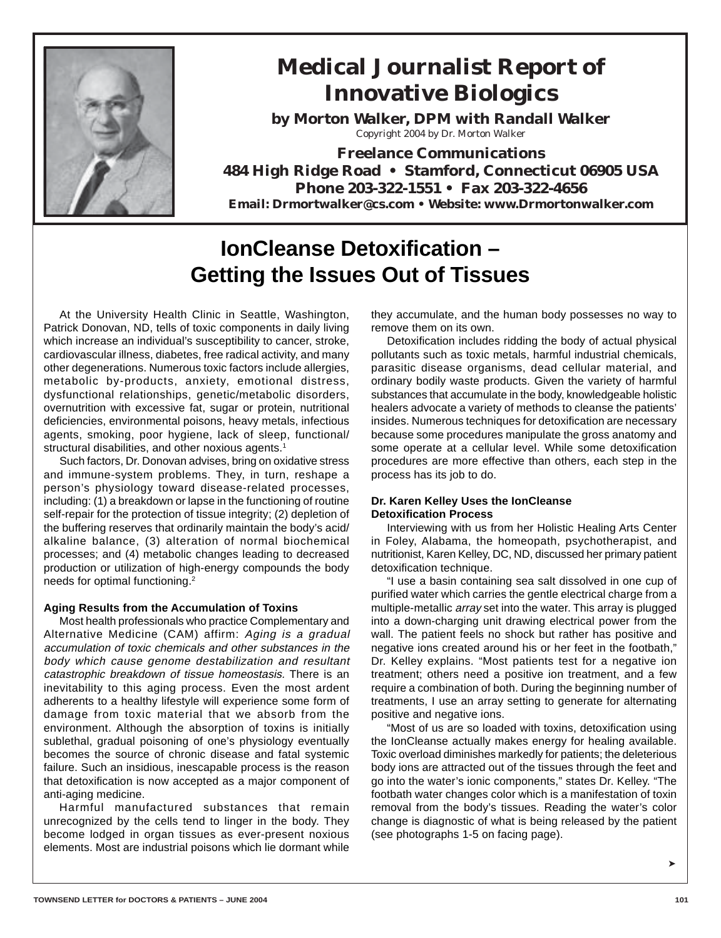

# **Medical Journalist Report of Innovative Biologics**

**by Morton Walker, DPM with Randall Walker** Copyright 2004 by Dr. Morton Walker

**Freelance Communications 484 High Ridge Road • Stamford, Connecticut 06905 USA Phone 203-322-1551 • Fax 203-322-4656 Email: Drmortwalker@cs.com • Website: www.Drmortonwalker.com**

# **IonCleanse Detoxification – Getting the Issues Out of Tissues**

At the University Health Clinic in Seattle, Washington, Patrick Donovan, ND, tells of toxic components in daily living which increase an individual's susceptibility to cancer, stroke, cardiovascular illness, diabetes, free radical activity, and many other degenerations. Numerous toxic factors include allergies, metabolic by-products, anxiety, emotional distress, dysfunctional relationships, genetic/metabolic disorders, overnutrition with excessive fat, sugar or protein, nutritional deficiencies, environmental poisons, heavy metals, infectious agents, smoking, poor hygiene, lack of sleep, functional/ structural disabilities, and other noxious agents.<sup>1</sup>

Such factors, Dr. Donovan advises, bring on oxidative stress and immune-system problems. They, in turn, reshape a person's physiology toward disease-related processes, including: (1) a breakdown or lapse in the functioning of routine self-repair for the protection of tissue integrity; (2) depletion of the buffering reserves that ordinarily maintain the body's acid/ alkaline balance, (3) alteration of normal biochemical processes; and (4) metabolic changes leading to decreased production or utilization of high-energy compounds the body needs for optimal functioning.2

# **Aging Results from the Accumulation of Toxins**

Most health professionals who practice Complementary and Alternative Medicine (CAM) affirm: Aging is a gradual accumulation of toxic chemicals and other substances in the body which cause genome destabilization and resultant catastrophic breakdown of tissue homeostasis. There is an inevitability to this aging process. Even the most ardent adherents to a healthy lifestyle will experience some form of damage from toxic material that we absorb from the environment. Although the absorption of toxins is initially sublethal, gradual poisoning of one's physiology eventually becomes the source of chronic disease and fatal systemic failure. Such an insidious, inescapable process is the reason that detoxification is now accepted as a major component of anti-aging medicine.

Harmful manufactured substances that remain unrecognized by the cells tend to linger in the body. They become lodged in organ tissues as ever-present noxious elements. Most are industrial poisons which lie dormant while they accumulate, and the human body possesses no way to remove them on its own.

Detoxification includes ridding the body of actual physical pollutants such as toxic metals, harmful industrial chemicals, parasitic disease organisms, dead cellular material, and ordinary bodily waste products. Given the variety of harmful substances that accumulate in the body, knowledgeable holistic healers advocate a variety of methods to cleanse the patients' insides. Numerous techniques for detoxification are necessary because some procedures manipulate the gross anatomy and some operate at a cellular level. While some detoxification procedures are more effective than others, each step in the process has its job to do.

# **Dr. Karen Kelley Uses the IonCleanse Detoxification Process**

Interviewing with us from her Holistic Healing Arts Center in Foley, Alabama, the homeopath, psychotherapist, and nutritionist, Karen Kelley, DC, ND, discussed her primary patient detoxification technique.

"I use a basin containing sea salt dissolved in one cup of purified water which carries the gentle electrical charge from a multiple-metallic array set into the water. This array is plugged into a down-charging unit drawing electrical power from the wall. The patient feels no shock but rather has positive and negative ions created around his or her feet in the footbath," Dr. Kelley explains. "Most patients test for a negative ion treatment; others need a positive ion treatment, and a few require a combination of both. During the beginning number of treatments, I use an array setting to generate for alternating positive and negative ions.

"Most of us are so loaded with toxins, detoxification using the IonCleanse actually makes energy for healing available. Toxic overload diminishes markedly for patients; the deleterious body ions are attracted out of the tissues through the feet and go into the water's ionic components," states Dr. Kelley. "The footbath water changes color which is a manifestation of toxin removal from the body's tissues. Reading the water's color change is diagnostic of what is being released by the patient (see photographs 1-5 on facing page).

➤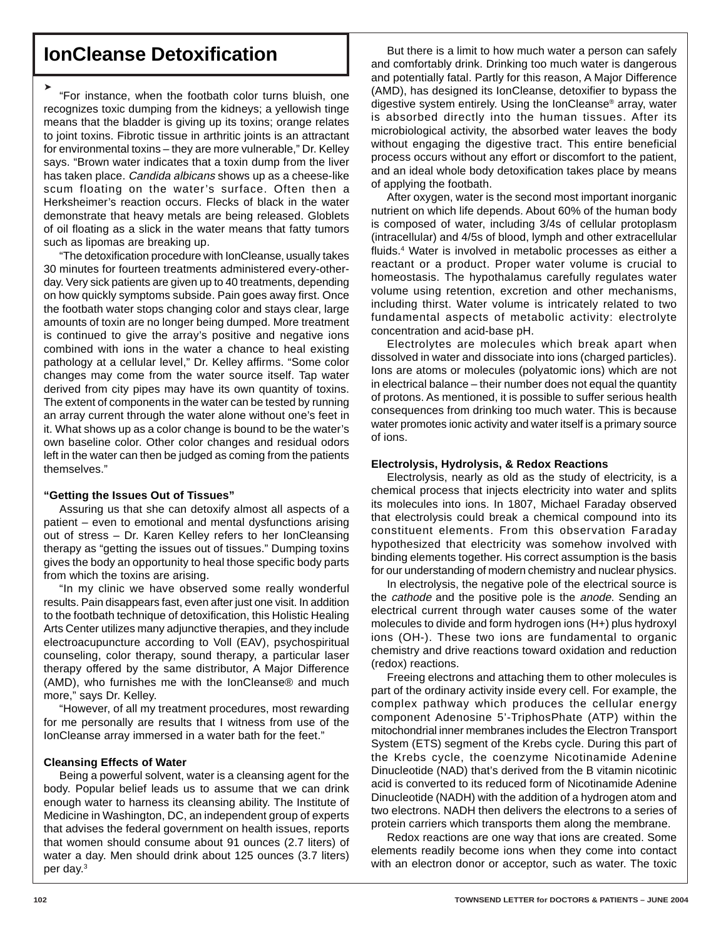# **IonCleanse Detoxification**

➤ "For instance, when the footbath color turns bluish, one recognizes toxic dumping from the kidneys; a yellowish tinge means that the bladder is giving up its toxins; orange relates to joint toxins. Fibrotic tissue in arthritic joints is an attractant for environmental toxins – they are more vulnerable," Dr. Kelley says. "Brown water indicates that a toxin dump from the liver has taken place. Candida albicans shows up as a cheese-like scum floating on the water's surface. Often then a Herksheimer's reaction occurs. Flecks of black in the water demonstrate that heavy metals are being released. Globlets of oil floating as a slick in the water means that fatty tumors such as lipomas are breaking up.

"The detoxification procedure with lonCleanse, usually takes 30 minutes for fourteen treatments administered every-otherday. Very sick patients are given up to 40 treatments, depending on how quickly symptoms subside. Pain goes away first. Once the footbath water stops changing color and stays clear, large amounts of toxin are no longer being dumped. More treatment is continued to give the array's positive and negative ions combined with ions in the water a chance to heal existing pathology at a cellular level," Dr. Kelley affirms. "Some color changes may come from the water source itself. Tap water derived from city pipes may have its own quantity of toxins. The extent of components in the water can be tested by running an array current through the water alone without one's feet in it. What shows up as a color change is bound to be the water's own baseline color. Other color changes and residual odors left in the water can then be judged as coming from the patients themselves."

# **"Getting the Issues Out of Tissues"**

Assuring us that she can detoxify almost all aspects of a patient – even to emotional and mental dysfunctions arising out of stress – Dr. Karen Kelley refers to her IonCleansing therapy as "getting the issues out of tissues." Dumping toxins gives the body an opportunity to heal those specific body parts from which the toxins are arising.

"In my clinic we have observed some really wonderful results. Pain disappears fast, even after just one visit. In addition to the footbath technique of detoxification, this Holistic Healing Arts Center utilizes many adjunctive therapies, and they include electroacupuncture according to Voll (EAV), psychospiritual counseling, color therapy, sound therapy, a particular laser therapy offered by the same distributor, A Major Difference (AMD), who furnishes me with the IonCleanse® and much more," says Dr. Kelley.

"However, of all my treatment procedures, most rewarding for me personally are results that I witness from use of the IonCleanse array immersed in a water bath for the feet."

# **Cleansing Effects of Water**

Being a powerful solvent, water is a cleansing agent for the body. Popular belief leads us to assume that we can drink enough water to harness its cleansing ability. The Institute of Medicine in Washington, DC, an independent group of experts that advises the federal government on health issues, reports that women should consume about 91 ounces (2.7 liters) of water a day. Men should drink about 125 ounces (3.7 liters) per day.3

But there is a limit to how much water a person can safely and comfortably drink. Drinking too much water is dangerous and potentially fatal. Partly for this reason, A Major Difference (AMD), has designed its IonCleanse, detoxifier to bypass the digestive system entirely. Using the IonCleanse® array, water is absorbed directly into the human tissues. After its microbiological activity, the absorbed water leaves the body without engaging the digestive tract. This entire beneficial process occurs without any effort or discomfort to the patient, and an ideal whole body detoxification takes place by means of applying the footbath.

After oxygen, water is the second most important inorganic nutrient on which life depends. About 60% of the human body is composed of water, including 3/4s of cellular protoplasm (intracellular) and 4/5s of blood, lymph and other extracellular fluids.4 Water is involved in metabolic processes as either a reactant or a product. Proper water volume is crucial to homeostasis. The hypothalamus carefully regulates water volume using retention, excretion and other mechanisms, including thirst. Water volume is intricately related to two fundamental aspects of metabolic activity: electrolyte concentration and acid-base pH.

Electrolytes are molecules which break apart when dissolved in water and dissociate into ions (charged particles). Ions are atoms or molecules (polyatomic ions) which are not in electrical balance – their number does not equal the quantity of protons. As mentioned, it is possible to suffer serious health consequences from drinking too much water. This is because water promotes ionic activity and water itself is a primary source of ions.

# **Electrolysis, Hydrolysis, & Redox Reactions**

Electrolysis, nearly as old as the study of electricity, is a chemical process that injects electricity into water and splits its molecules into ions. In 1807, Michael Faraday observed that electrolysis could break a chemical compound into its constituent elements. From this observation Faraday hypothesized that electricity was somehow involved with binding elements together. His correct assumption is the basis for our understanding of modern chemistry and nuclear physics.

In electrolysis, the negative pole of the electrical source is the *cathode* and the positive pole is the *anode*. Sending an electrical current through water causes some of the water molecules to divide and form hydrogen ions (H+) plus hydroxyl ions (OH-). These two ions are fundamental to organic chemistry and drive reactions toward oxidation and reduction (redox) reactions.

Freeing electrons and attaching them to other molecules is part of the ordinary activity inside every cell. For example, the complex pathway which produces the cellular energy component Adenosine 5'-TriphosPhate (ATP) within the mitochondrial inner membranes includes the Electron Transport System (ETS) segment of the Krebs cycle. During this part of the Krebs cycle, the coenzyme Nicotinamide Adenine Dinucleotide (NAD) that's derived from the B vitamin nicotinic acid is converted to its reduced form of Nicotinamide Adenine Dinucleotide (NADH) with the addition of a hydrogen atom and two electrons. NADH then delivers the electrons to a series of protein carriers which transports them along the membrane.

Redox reactions are one way that ions are created. Some elements readily become ions when they come into contact with an electron donor or acceptor, such as water. The toxic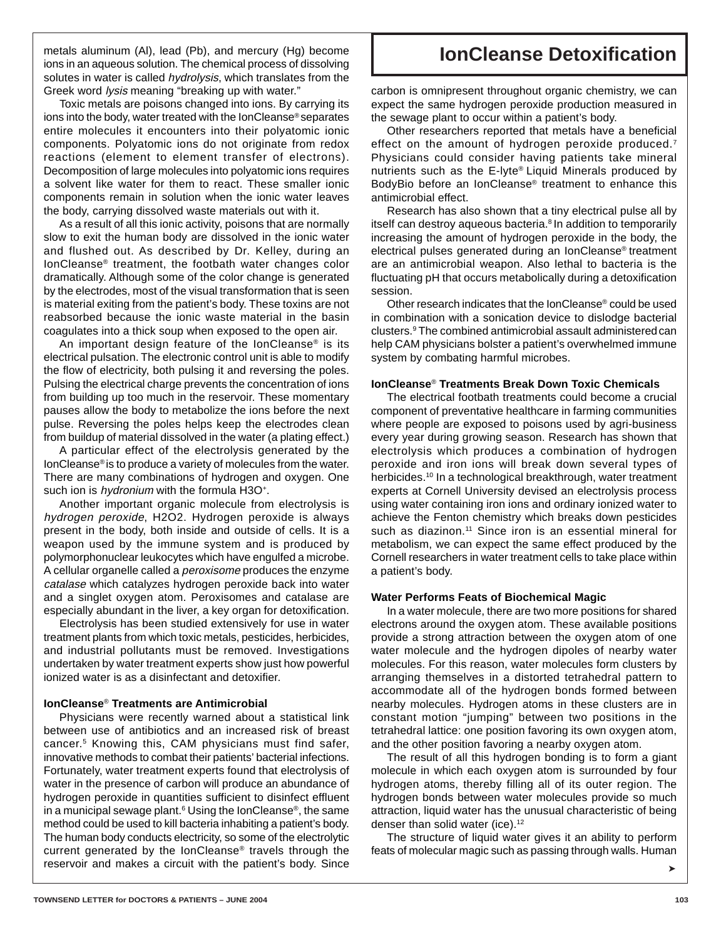metals aluminum (Al), lead (Pb), and mercury (Hg) become **contained allongleanse Detoxification** ions in an aqueous solution. The chemical process of dissolving solutes in water is called hydrolysis, which translates from the Greek word lysis meaning "breaking up with water."

Toxic metals are poisons changed into ions. By carrying its ions into the body, water treated with the IonCleanse® separates entire molecules it encounters into their polyatomic ionic components. Polyatomic ions do not originate from redox reactions (element to element transfer of electrons). Decomposition of large molecules into polyatomic ions requires a solvent like water for them to react. These smaller ionic components remain in solution when the ionic water leaves the body, carrying dissolved waste materials out with it.

As a result of all this ionic activity, poisons that are normally slow to exit the human body are dissolved in the ionic water and flushed out. As described by Dr. Kelley, during an IonCleanse® treatment, the footbath water changes color dramatically. Although some of the color change is generated by the electrodes, most of the visual transformation that is seen is material exiting from the patient's body. These toxins are not reabsorbed because the ionic waste material in the basin coagulates into a thick soup when exposed to the open air.

An important design feature of the IonCleanse® is its electrical pulsation. The electronic control unit is able to modify the flow of electricity, both pulsing it and reversing the poles. Pulsing the electrical charge prevents the concentration of ions from building up too much in the reservoir. These momentary pauses allow the body to metabolize the ions before the next pulse. Reversing the poles helps keep the electrodes clean from buildup of material dissolved in the water (a plating effect.)

A particular effect of the electrolysis generated by the IonCleanse® is to produce a variety of molecules from the water. There are many combinations of hydrogen and oxygen. One such ion is *hydronium* with the formula H3O<sup>+</sup>.

Another important organic molecule from electrolysis is hydrogen peroxide, H2O2. Hydrogen peroxide is always present in the body, both inside and outside of cells. It is a weapon used by the immune system and is produced by polymorphonuclear leukocytes which have engulfed a microbe. A cellular organelle called a peroxisome produces the enzyme catalase which catalyzes hydrogen peroxide back into water and a singlet oxygen atom. Peroxisomes and catalase are especially abundant in the liver, a key organ for detoxification.

Electrolysis has been studied extensively for use in water treatment plants from which toxic metals, pesticides, herbicides, and industrial pollutants must be removed. Investigations undertaken by water treatment experts show just how powerful ionized water is as a disinfectant and detoxifier.

# **IonCleanse**® **Treatments are Antimicrobial**

Physicians were recently warned about a statistical link between use of antibiotics and an increased risk of breast cancer.5 Knowing this, CAM physicians must find safer, innovative methods to combat their patients' bacterial infections. Fortunately, water treatment experts found that electrolysis of water in the presence of carbon will produce an abundance of hydrogen peroxide in quantities sufficient to disinfect effluent in a municipal sewage plant.<sup>6</sup> Using the IonCleanse<sup>®</sup>, the same method could be used to kill bacteria inhabiting a patient's body. The human body conducts electricity, so some of the electrolytic current generated by the IonCleanse® travels through the reservoir and makes a circuit with the patient's body. Since

carbon is omnipresent throughout organic chemistry, we can expect the same hydrogen peroxide production measured in the sewage plant to occur within a patient's body.

Other researchers reported that metals have a beneficial effect on the amount of hydrogen peroxide produced.<sup>7</sup> Physicians could consider having patients take mineral nutrients such as the E-lyte® Liquid Minerals produced by BodyBio before an IonCleanse® treatment to enhance this antimicrobial effect.

Research has also shown that a tiny electrical pulse all by itself can destroy aqueous bacteria.<sup>8</sup> In addition to temporarily increasing the amount of hydrogen peroxide in the body, the electrical pulses generated during an IonCleanse® treatment are an antimicrobial weapon. Also lethal to bacteria is the fluctuating pH that occurs metabolically during a detoxification session.

Other research indicates that the IonCleanse® could be used in combination with a sonication device to dislodge bacterial clusters.9 The combined antimicrobial assault administeredcan help CAM physicians bolster a patient's overwhelmed immune system by combating harmful microbes.

# **IonCleanse**® **Treatments Break Down Toxic Chemicals**

The electrical footbath treatments could become a crucial component of preventative healthcare in farming communities where people are exposed to poisons used by agri-business every year during growing season. Research has shown that electrolysis which produces a combination of hydrogen peroxide and iron ions will break down several types of herbicides.<sup>10</sup> In a technological breakthrough, water treatment experts at Cornell University devised an electrolysis process using water containing iron ions and ordinary ionized water to achieve the Fenton chemistry which breaks down pesticides such as diazinon.<sup>11</sup> Since iron is an essential mineral for metabolism, we can expect the same effect produced by the Cornell researchers in water treatment cells to take place within a patient's body.

### **Water Performs Feats of Biochemical Magic**

In a water molecule, there are two more positions for shared electrons around the oxygen atom. These available positions provide a strong attraction between the oxygen atom of one water molecule and the hydrogen dipoles of nearby water molecules. For this reason, water molecules form clusters by arranging themselves in a distorted tetrahedral pattern to accommodate all of the hydrogen bonds formed between nearby molecules. Hydrogen atoms in these clusters are in constant motion "jumping" between two positions in the tetrahedral lattice: one position favoring its own oxygen atom, and the other position favoring a nearby oxygen atom.

The result of all this hydrogen bonding is to form a giant molecule in which each oxygen atom is surrounded by four hydrogen atoms, thereby filling all of its outer region. The hydrogen bonds between water molecules provide so much attraction, liquid water has the unusual characteristic of being denser than solid water (ice).<sup>12</sup>

The structure of liquid water gives it an ability to perform feats of molecular magic such as passing through walls. Human

➤